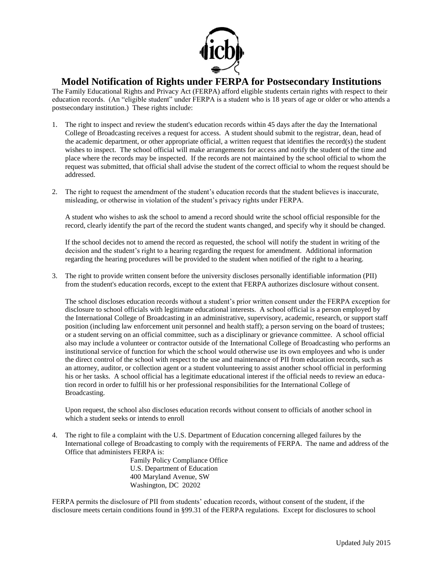

## **Model Notification of Rights under FERPA for Postsecondary Institutions**

The Family Educational Rights and Privacy Act (FERPA) afford eligible students certain rights with respect to their education records. (An "eligible student" under FERPA is a student who is 18 years of age or older or who attends a postsecondary institution.) These rights include:

- 1. The right to inspect and review the student's education records within 45 days after the day the International College of Broadcasting receives a request for access. A student should submit to the registrar, dean, head of the academic department, or other appropriate official, a written request that identifies the record(s) the student wishes to inspect. The school official will make arrangements for access and notify the student of the time and place where the records may be inspected. If the records are not maintained by the school official to whom the request was submitted, that official shall advise the student of the correct official to whom the request should be addressed.
- 2. The right to request the amendment of the student's education records that the student believes is inaccurate, misleading, or otherwise in violation of the student's privacy rights under FERPA.

A student who wishes to ask the school to amend a record should write the school official responsible for the record, clearly identify the part of the record the student wants changed, and specify why it should be changed.

If the school decides not to amend the record as requested, the school will notify the student in writing of the decision and the student's right to a hearing regarding the request for amendment. Additional information regarding the hearing procedures will be provided to the student when notified of the right to a hearing.

3. The right to provide written consent before the university discloses personally identifiable information (PII) from the student's education records, except to the extent that FERPA authorizes disclosure without consent.

The school discloses education records without a student's prior written consent under the FERPA exception for disclosure to school officials with legitimate educational interests. A school official is a person employed by the International College of Broadcasting in an administrative, supervisory, academic, research, or support staff position (including law enforcement unit personnel and health staff); a person serving on the board of trustees; or a student serving on an official committee, such as a disciplinary or grievance committee. A school official also may include a volunteer or contractor outside of the International College of Broadcasting who performs an institutional service of function for which the school would otherwise use its own employees and who is under the direct control of the school with respect to the use and maintenance of PII from education records, such as an attorney, auditor, or collection agent or a student volunteering to assist another school official in performing his or her tasks. A school official has a legitimate educational interest if the official needs to review an education record in order to fulfill his or her professional responsibilities for the International College of Broadcasting.

Upon request, the school also discloses education records without consent to officials of another school in which a student seeks or intends to enroll

4. The right to file a complaint with the U.S. Department of Education concerning alleged failures by the International college of Broadcasting to comply with the requirements of FERPA. The name and address of the Office that administers FERPA is:

Family Policy Compliance Office U.S. Department of Education 400 Maryland Avenue, SW Washington, DC 20202

FERPA permits the disclosure of PII from students' education records, without consent of the student, if the disclosure meets certain conditions found in §99.31 of the FERPA regulations. Except for disclosures to school